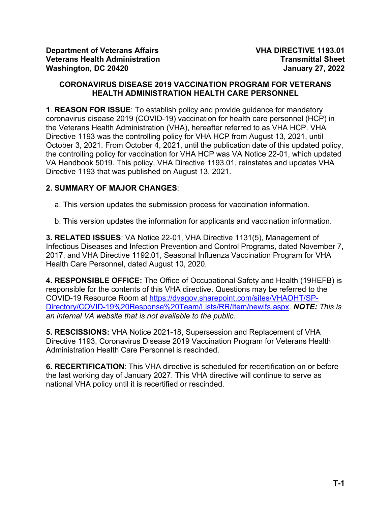## **CORONAVIRUS DISEASE 2019 VACCINATION PROGRAM FOR VETERANS HEALTH ADMINISTRATION HEALTH CARE PERSONNEL**

**1**. **REASON FOR ISSUE**: To establish policy and provide guidance for mandatory coronavirus disease 2019 (COVID-19) vaccination for health care personnel (HCP) in the Veterans Health Administration (VHA), hereafter referred to as VHA HCP. VHA Directive 1193 was the controlling policy for VHA HCP from August 13, 2021, until October 3, 2021. From October 4, 2021, until the publication date of this updated policy, the controlling policy for vaccination for VHA HCP was VA Notice 22-01, which updated VA Handbook 5019. This policy, VHA Directive 1193.01, reinstates and updates VHA Directive 1193 that was published on August 13, 2021.

# **2. SUMMARY OF MAJOR CHANGES**:

a. This version updates the submission process for vaccination information.

b. This version updates the information for applicants and vaccination information.

**3. RELATED ISSUES**: VA Notice 22-01, VHA Directive 1131(5), Management of Infectious Diseases and Infection Prevention and Control Programs, dated November 7, 2017, and VHA Directive 1192.01, Seasonal Influenza Vaccination Program for VHA Health Care Personnel, dated August 10, 2020.

**4. RESPONSIBLE OFFICE:** The Office of Occupational Safety and Health (19HEFB) is responsible for the contents of this VHA directive. Questions may be referred to the COVID-19 Resource Room at [https://dvagov.sharepoint.com/sites/VHAOHT/SP-](https://dvagov.sharepoint.com/sites/VHAOHT/SP-Directory/COVID-19%20Response%20Team/Lists/RR/Item/newifs.aspx)[Directory/COVID-19%20Response%20Team/Lists/RR/Item/newifs.aspx.](https://dvagov.sharepoint.com/sites/VHAOHT/SP-Directory/COVID-19%20Response%20Team/Lists/RR/Item/newifs.aspx) *NOTE: This is an internal VA website that is not available to the public.*

**5. RESCISSIONS:** VHA Notice 2021-18, Supersession and Replacement of VHA Directive 1193, Coronavirus Disease 2019 Vaccination Program for Veterans Health Administration Health Care Personnel is rescinded.

**6. RECERTIFICATION**: This VHA directive is scheduled for recertification on or before the last working day of January 2027. This VHA directive will continue to serve as national VHA policy until it is recertified or rescinded.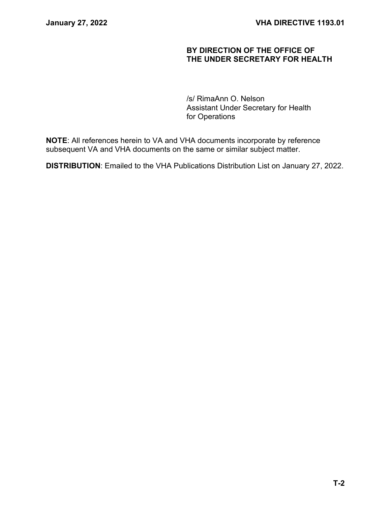## **BY DIRECTION OF THE OFFICE OF THE UNDER SECRETARY FOR HEALTH**

/s/ RimaAnn O. Nelson Assistant Under Secretary for Health for Operations

**NOTE**: All references herein to VA and VHA documents incorporate by reference subsequent VA and VHA documents on the same or similar subject matter.

**DISTRIBUTION**: Emailed to the VHA Publications Distribution List on January 27, 2022.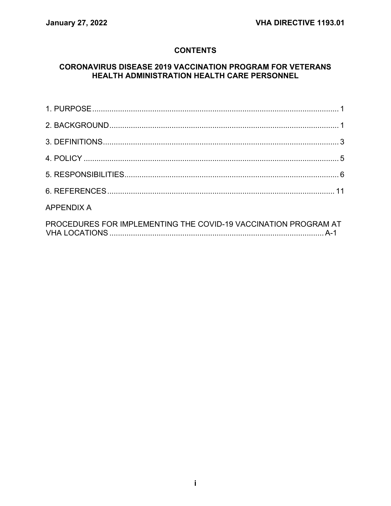# **CONTENTS**

## **CORONAVIRUS DISEASE 2019 VACCINATION PROGRAM FOR VETERANS** HEALTH ADMINISTRATION HEALTH CARE PERSONNEL

| <b>APPENDIX A</b>                                               |  |
|-----------------------------------------------------------------|--|
| PROCEDURES FOR IMPLEMENTING THE COVID-19 VACCINATION PROGRAM AT |  |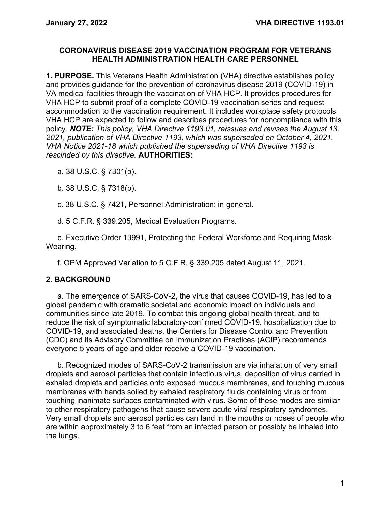## **CORONAVIRUS DISEASE 2019 VACCINATION PROGRAM FOR VETERANS HEALTH ADMINISTRATION HEALTH CARE PERSONNEL**

<span id="page-3-0"></span>**1. PURPOSE.** This Veterans Health Administration (VHA) directive establishes policy and provides guidance for the prevention of coronavirus disease 2019 (COVID-19) in VA medical facilities through the vaccination of VHA HCP. It provides procedures for VHA HCP to submit proof of a complete COVID-19 vaccination series and request accommodation to the vaccination requirement. It includes workplace safety protocols VHA HCP are expected to follow and describes procedures for noncompliance with this policy. *NOTE: This policy, VHA Directive 1193.01, reissues and revises the August 13, 2021, publication of VHA Directive 1193, which was superseded on October 4, 2021. VHA Notice 2021-18 which published the superseding of VHA Directive 1193 is rescinded by this directive.* **AUTHORITIES:**

a. 38 U.S.C. § 7301(b).

b. 38 U.S.C. § 7318(b).

c. 38 U.S.C. § 7421, Personnel Administration: in general.

d. 5 C.F.R. § 339.205, Medical Evaluation Programs.

e. Executive Order 13991, Protecting the Federal Workforce and Requiring Mask-Wearing.

f. OPM Approved Variation to 5 C.F.R. § 339.205 dated August 11, 2021.

## <span id="page-3-1"></span>**2. BACKGROUND**

a. The emergence of SARS-CoV-2, the virus that causes COVID-19, has led to a global pandemic with dramatic societal and economic impact on individuals and communities since late 2019. To combat this ongoing global health threat, and to reduce the risk of symptomatic laboratory-confirmed COVID-19, hospitalization due to COVID-19, and associated deaths, the Centers for Disease Control and Prevention (CDC) and its Advisory Committee on Immunization Practices (ACIP) recommends everyone 5 years of age and older receive a COVID-19 vaccination.

b. Recognized modes of SARS-CoV-2 transmission are via inhalation of very small droplets and aerosol particles that contain infectious virus, deposition of virus carried in exhaled droplets and particles onto exposed mucous membranes, and touching mucous membranes with hands soiled by exhaled respiratory fluids containing virus or from touching inanimate surfaces contaminated with virus. Some of these modes are similar to other respiratory pathogens that cause severe acute viral respiratory syndromes. Very small droplets and aerosol particles can land in the mouths or noses of people who are within approximately 3 to 6 feet from an infected person or possibly be inhaled into the lungs.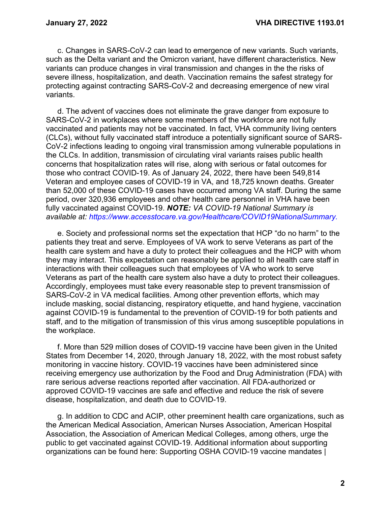c. Changes in SARS-CoV-2 can lead to emergence of new variants. Such variants, such as the Delta variant and the Omicron variant, have different characteristics. New variants can produce changes in viral transmission and changes in the the risks of severe illness, hospitalization, and death. Vaccination remains the safest strategy for protecting against contracting SARS-CoV-2 and decreasing emergence of new viral variants.

d. The advent of vaccines does not eliminate the grave danger from exposure to SARS-CoV-2 in workplaces where some members of the workforce are not fully vaccinated and patients may not be vaccinated. In fact, VHA community living centers (CLCs), without fully vaccinated staff introduce a potentially significant source of SARS-CoV-2 infections leading to ongoing viral transmission among vulnerable populations in the CLCs. In addition, transmission of circulating viral variants raises public health concerns that hospitalization rates will rise, along with serious or fatal outcomes for those who contract COVID-19. As of January 24, 2022, there have been 549,814 Veteran and employee cases of COVID-19 in VA, and 18,725 known deaths. Greater than 52,000 of these COVID-19 cases have occurred among VA staff. During the same period, over 320,936 employees and other health care personnel in VHA have been fully vaccinated against COVID-19. *NOTE: VA COVID-19 National Summary is available at: [https://www.accesstocare.va.gov/Healthcare/COVID19NationalSummary.](https://www.accesstocare.va.gov/Healthcare/COVID19NationalSummary)*

e. Society and professional norms set the expectation that HCP "do no harm" to the patients they treat and serve. Employees of VA work to serve Veterans as part of the health care system and have a duty to protect their colleagues and the HCP with whom they may interact. This expectation can reasonably be applied to all health care staff in interactions with their colleagues such that employees of VA who work to serve Veterans as part of the health care system also have a duty to protect their colleagues. Accordingly, employees must take every reasonable step to prevent transmission of SARS-CoV-2 in VA medical facilities. Among other prevention efforts, which may include masking, social distancing, respiratory etiquette, and hand hygiene, vaccination against COVID-19 is fundamental to the prevention of COVID-19 for both patients and staff, and to the mitigation of transmission of this virus among susceptible populations in the workplace.

f. More than 529 million doses of COVID-19 vaccine have been given in the United States from December 14, 2020, through January 18, 2022, with the most robust safety monitoring in vaccine history. COVID-19 vaccines have been administered since receiving emergency use authorization by the Food and Drug Administration (FDA) with rare serious adverse reactions reported after vaccination. All FDA-authorized or approved COVID-19 vaccines are safe and effective and reduce the risk of severe disease, hospitalization, and death due to COVID-19.

g. In addition to CDC and ACIP, other preeminent health care organizations, such as the American Medical Association, American Nurses Association, American Hospital Association, the Association of American Medical Colleges, among others, urge the public to get vaccinated against COVID-19. Additional information about supporting organizations can be found here: [Supporting OSHA COVID-19 vaccine mandates |](https://www.ama-assn.org/press-center/press-releases/ama-joins-health-care-experts-supporting-osha-covid-19-vaccine-mandates)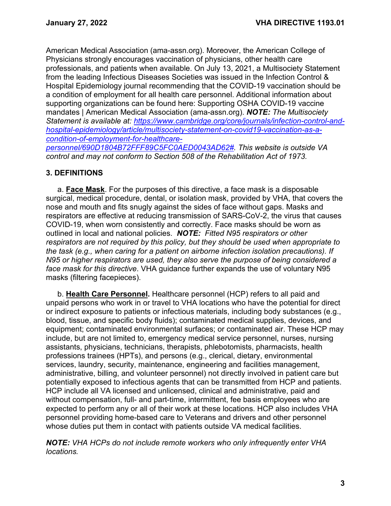[American Medical Association \(ama-assn.org\).](https://www.ama-assn.org/press-center/press-releases/ama-joins-health-care-experts-supporting-osha-covid-19-vaccine-mandates) Moreover, the American College of Physicians strongly encourages vaccination of physicians, other health care professionals, and patients when available. On July 13, 2021, a Multisociety Statement from the leading Infectious Diseases Societies was issued in the Infection Control & Hospital Epidemiology journal recommending that the COVID-19 vaccination should be a condition of employment for all health care personnel. Additional information about supporting organizations can be found here: Supporting OSHA COVID-19 vaccine mandates | American Medical Association (ama-assn.org). *NOTE: The Multisociety Statement is available at: [https://www.cambridge.org/core/journals/infection-control-and](https://www.cambridge.org/core/journals/infection-control-and-hospital-epidemiology/article/multisociety-statement-on-covid19-vaccination-as-a-condition-of-employment-for-healthcare-personnel/690D1804B72FFF89C5FC0AED0043AD62)[hospital-epidemiology/article/multisociety-statement-on-covid19-vaccination-as-a](https://www.cambridge.org/core/journals/infection-control-and-hospital-epidemiology/article/multisociety-statement-on-covid19-vaccination-as-a-condition-of-employment-for-healthcare-personnel/690D1804B72FFF89C5FC0AED0043AD62)[condition-of-employment-for-healthcare](https://www.cambridge.org/core/journals/infection-control-and-hospital-epidemiology/article/multisociety-statement-on-covid19-vaccination-as-a-condition-of-employment-for-healthcare-personnel/690D1804B72FFF89C5FC0AED0043AD62)[personnel/690D1804B72FFF89C5FC0AED0043AD62#.](https://www.cambridge.org/core/journals/infection-control-and-hospital-epidemiology/article/multisociety-statement-on-covid19-vaccination-as-a-condition-of-employment-for-healthcare-personnel/690D1804B72FFF89C5FC0AED0043AD62) This website is outside VA control and may not conform to Section 508 of the Rehabilitation Act of 1973.*

## <span id="page-5-0"></span>**3. DEFINITIONS**

a. **Face Mask**. For the purposes of this directive, a face mask is a disposable surgical, medical procedure, dental, or isolation mask, provided by VHA, that covers the nose and mouth and fits snugly against the sides of face without gaps. Masks and respirators are effective at reducing transmission of SARS-CoV-2, the virus that causes COVID-19, when worn consistently and correctly. Face masks should be worn as outlined in local and national policies. *NOTE: Fitted N95 respirators or other respirators are not required by this policy, but they should be used when appropriate to the task (e.g., when caring for a patient on airborne infection isolation precautions). If N95 or higher respirators are used, they also serve the purpose of being considered a face mask for this directive*. VHA guidance further expands the use of voluntary N95 masks (filtering facepieces).

b. **Health Care Personnel.** Healthcare personnel (HCP) refers to all paid and unpaid persons who work in or travel to VHA locations who have the potential for direct or indirect exposure to patients or infectious materials, including body substances (e.g., blood, tissue, and specific body fluids); contaminated medical supplies, devices, and equipment; contaminated environmental surfaces; or contaminated air. These HCP may include, but are not limited to, emergency medical service personnel, nurses, nursing assistants, physicians, technicians, therapists, phlebotomists, pharmacists, health professions trainees (HPTs), and persons (e.g., clerical, dietary, environmental services, laundry, security, maintenance, engineering and facilities management, administrative, billing, and volunteer personnel) not directly involved in patient care but potentially exposed to infectious agents that can be transmitted from HCP and patients. HCP include all VA licensed and unlicensed, clinical and administrative, paid and without compensation, full- and part-time, intermittent, fee basis employees who are expected to perform any or all of their work at these locations. HCP also includes VHA personnel providing home-based care to Veterans and drivers and other personnel whose duties put them in contact with patients outside VA medical facilities.

*NOTE: VHA HCPs do not include remote workers who only infrequently enter VHA locations.*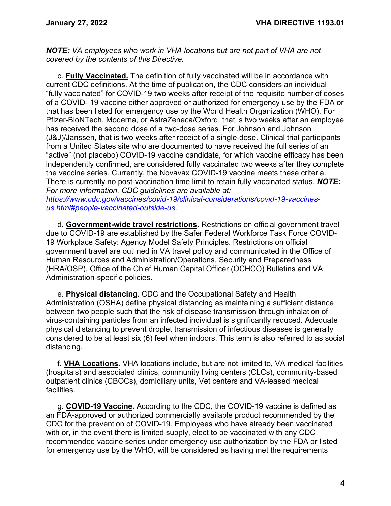*NOTE: VA employees who work in VHA locations but are not part of VHA are not covered by the contents of this Directive.*

c. **Fully Vaccinated.** The definition of fully vaccinated will be in accordance with current CDC definitions. At the time of publication, the CDC considers an individual "fully vaccinated" for COVID-19 two weeks after receipt of the requisite number of doses of a COVID- 19 vaccine either approved or authorized for emergency use by the FDA or that has been listed for emergency use by the World Health Organization (WHO). For Pfizer-BioNTech, Moderna, or AstraZeneca/Oxford, that is two weeks after an employee has received the second dose of a two-dose series. For Johnson and Johnson (J&J)/Janssen, that is two weeks after receipt of a single-dose. Clinical trial participants from a United States site who are documented to have received the full series of an "active" (not placebo) COVID-19 vaccine candidate, for which vaccine efficacy has been independently confirmed, are considered fully vaccinated two weeks after they complete the vaccine series. Currently, the Novavax COVID-19 vaccine meets these criteria. There is currently no post-vaccination time limit to retain fully vaccinated status. *NOTE: For more information, CDC guidelines are available at:* 

*[https://www.cdc.gov/vaccines/covid-19/clinical-considerations/covid-19-vaccines](https://www.cdc.gov/vaccines/covid-19/clinical-considerations/covid-19-vaccines-us.html#people-vaccinated-outside-us)[us.html#people-vaccinated-outside-us](https://www.cdc.gov/vaccines/covid-19/clinical-considerations/covid-19-vaccines-us.html#people-vaccinated-outside-us)*.

d. **Government-wide travel restrictions.** Restrictions on official government travel due to COVID-19 are established by the Safer Federal Workforce Task Force COVID-19 Workplace Safety: Agency Model Safety Principles. Restrictions on official government travel are outlined in VA travel policy and communicated in the Office of Human Resources and Administration/Operations, Security and Preparedness (HRA/OSP), Office of the Chief Human Capital Officer (OCHCO) Bulletins and VA Administration-specific policies.

e. **Physical distancing.** CDC and the Occupational Safety and Health Administration (OSHA) define physical distancing as maintaining a sufficient distance between two people such that the risk of disease transmission through inhalation of virus-containing particles from an infected individual is significantly reduced. Adequate physical distancing to prevent droplet transmission of infectious diseases is generally considered to be at least six (6) feet when indoors. This term is also referred to as social distancing.

f. **VHA Locations.** VHA locations include, but are not limited to, VA medical facilities (hospitals) and associated clinics, community living centers (CLCs), community-based outpatient clinics (CBOCs), domiciliary units, Vet centers and VA-leased medical facilities.

g. **COVID-19 Vaccine.** According to the CDC, the COVID-19 vaccine is defined as an FDA-approved or authorized commercially available product recommended by the CDC for the prevention of COVID-19. Employees who have already been vaccinated with or, in the event there is limited supply, elect to be vaccinated with any CDC recommended vaccine series under emergency use authorization by the FDA or listed for emergency use by the WHO, will be considered as having met the requirements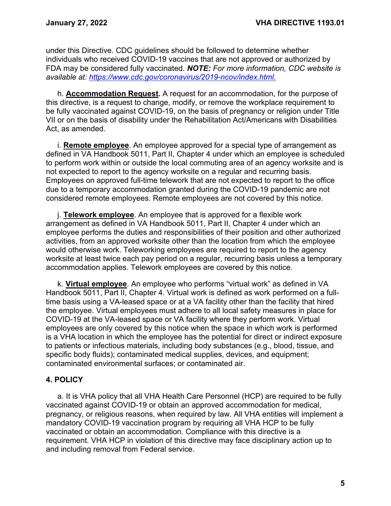under this Directive. CDC guidelines should be followed to determine whether individuals who received COVID-19 vaccines that are not approved or authorized by FDA may be considered fully vaccinated. *NOTE: For more information, CDC website is available at: [https://www.cdc.gov/coronavirus/2019-ncov/index.html.](https://www.cdc.gov/coronavirus/2019-ncov/index.html)*

h. **Accommodation Request.** A request for an accommodation, for the purpose of this directive, is a request to change, modify, or remove the workplace requirement to be fully vaccinated against COVID-19, on the basis of pregnancy or religion under Title VII or on the basis of disability under the Rehabilitation Act/Americans with Disabilities Act, as amended.

i. **Remote employee**. An employee approved for a special type of arrangement as defined in VA Handbook 5011, Part II, Chapter 4 under which an employee is scheduled to perform work within or outside the local commuting area of an agency worksite and is not expected to report to the agency worksite on a regular and recurring basis. Employees on approved full-time telework that are not expected to report to the office due to a temporary accommodation granted during the COVID-19 pandemic are not considered remote employees. Remote employees are not covered by this notice.

j. **Telework employee**. An employee that is approved for a flexible work arrangement as defined in VA Handbook 5011, Part II, Chapter 4 under which an employee performs the duties and responsibilities of their position and other authorized activities, from an approved worksite other than the location from which the employee would otherwise work. Teleworking employees are required to report to the agency worksite at least twice each pay period on a regular, recurring basis unless a temporary accommodation applies. Telework employees are covered by this notice.

k. **Virtual employee**. An employee who performs "virtual work" as defined in VA Handbook 5011, Part II, Chapter 4. Virtual work is defined as work performed on a fulltime basis using a VA-leased space or at a VA facility other than the facility that hired the employee. Virtual employees must adhere to all local safety measures in place for COVID-19 at the VA-leased space or VA facility where they perform work. Virtual employees are only covered by this notice when the space in which work is performed is a VHA location in which the employee has the potential for direct or indirect exposure to patients or infectious materials, including body substances (e.g., blood, tissue, and specific body fluids); contaminated medical supplies, devices, and equipment; contaminated environmental surfaces; or contaminated air.

## <span id="page-7-0"></span>**4. POLICY**

a. It is VHA policy that all VHA Health Care Personnel (HCP) are required to be fully vaccinated against COVID-19 or obtain an approved accommodation for medical, pregnancy, or religious reasons, when required by law. All VHA entities will implement a mandatory COVID-19 vaccination program by requiring all VHA HCP to be fully vaccinated or obtain an accommodation. Compliance with this directive is a requirement. VHA HCP in violation of this directive may face disciplinary action up to and including removal from Federal service.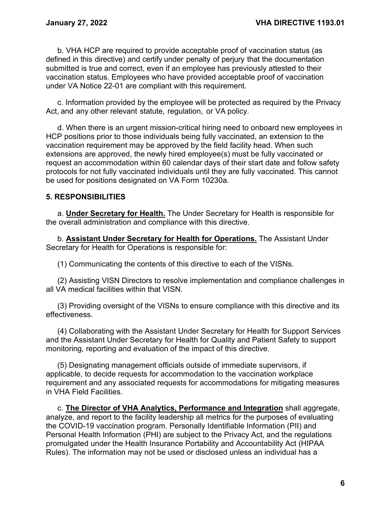b. VHA HCP are required to provide acceptable proof of vaccination status (as defined in this directive) and certify under penalty of perjury that the documentation submitted is true and correct, even if an employee has previously attested to their vaccination status. Employees who have provided acceptable proof of vaccination under VA Notice 22-01 are compliant with this requirement.

c. Information provided by the employee will be protected as required by the Privacy Act, and any other relevant statute, regulation, or VA policy.

d. When there is an urgent mission-critical hiring need to onboard new employees in HCP positions prior to those individuals being fully vaccinated, an extension to the vaccination requirement may be approved by the field facility head. When such extensions are approved, the newly hired employee(s) must be fully vaccinated or request an accommodation within 60 calendar days of their start date and follow safety protocols for not fully vaccinated individuals until they are fully vaccinated. This cannot be used for positions designated on VA Form 10230a.

## <span id="page-8-0"></span>**5. RESPONSIBILITIES**

a. **Under Secretary for Health.** The Under Secretary for Health is responsible for the overall administration and compliance with this directive.

b. **Assistant Under Secretary for Health for Operations.** The Assistant Under Secretary for Health for Operations is responsible for:

(1) Communicating the contents of this directive to each of the VISNs.

(2) Assisting VISN Directors to resolve implementation and compliance challenges in all VA medical facilities within that VISN.

(3) Providing oversight of the VISNs to ensure compliance with this directive and its effectiveness.

(4) Collaborating with the Assistant Under Secretary for Health for Support Services and the Assistant Under Secretary for Health for Quality and Patient Safety to support monitoring, reporting and evaluation of the impact of this directive.

(5) Designating management officials outside of immediate supervisors, if applicable, to decide requests for accommodation to the vaccination workplace requirement and any associated requests for accommodations for mitigating measures in VHA Field Facilities.

c. **The Director of VHA Analytics, Performance and Integration** shall aggregate, analyze, and report to the facility leadership all metrics for the purposes of evaluating the COVID-19 vaccination program. Personally Identifiable Information (PII) and Personal Health Information (PHI) are subject to the Privacy Act, and the regulations promulgated under the Health Insurance Portability and Accountability Act (HIPAA Rules). The information may not be used or disclosed unless an individual has a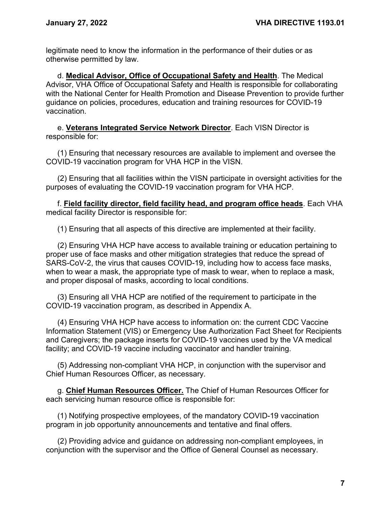legitimate need to know the information in the performance of their duties or as otherwise permitted by law.

d. **Medical Advisor, Office of Occupational Safety and Health**. The Medical Advisor, VHA Office of Occupational Safety and Health is responsible for collaborating with the National Center for Health Promotion and Disease Prevention to provide further guidance on policies, procedures, education and training resources for COVID-19 vaccination.

e. **Veterans Integrated Service Network Director**. Each VISN Director is responsible for:

(1) Ensuring that necessary resources are available to implement and oversee the COVID-19 vaccination program for VHA HCP in the VISN.

(2) Ensuring that all facilities within the VISN participate in oversight activities for the purposes of evaluating the COVID-19 vaccination program for VHA HCP.

f. **Field facility director, field facility head, and program office heads**. Each VHA medical facility Director is responsible for:

(1) Ensuring that all aspects of this directive are implemented at their facility.

(2) Ensuring VHA HCP have access to available training or education pertaining to proper use of face masks and other mitigation strategies that reduce the spread of SARS-CoV-2, the virus that causes COVID-19, including how to access face masks, when to wear a mask, the appropriate type of mask to wear, when to replace a mask, and proper disposal of masks, according to local conditions.

(3) Ensuring all VHA HCP are notified of the requirement to participate in the COVID-19 vaccination program, as described in Appendix A.

(4) Ensuring VHA HCP have access to information on: the current CDC Vaccine Information Statement (VIS) or Emergency Use Authorization Fact Sheet for Recipients and Caregivers; the package inserts for COVID-19 vaccines used by the VA medical facility; and COVID-19 vaccine including vaccinator and handler training.

(5) Addressing non-compliant VHA HCP, in conjunction with the supervisor and Chief Human Resources Officer, as necessary.

g. **Chief Human Resources Officer.** The Chief of Human Resources Officer for each servicing human resource office is responsible for:

(1) Notifying prospective employees, of the mandatory COVID-19 vaccination program in job opportunity announcements and tentative and final offers.

(2) Providing advice and guidance on addressing non-compliant employees, in conjunction with the supervisor and the Office of General Counsel as necessary.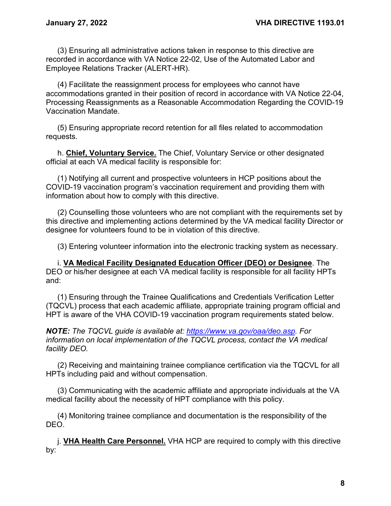(3) Ensuring all administrative actions taken in response to this directive are recorded in accordance with VA Notice 22-02, Use of the Automated Labor and Employee Relations Tracker (ALERT-HR).

(4) Facilitate the reassignment process for employees who cannot have accommodations granted in their position of record in accordance with VA Notice 22-04, Processing Reassignments as a Reasonable Accommodation Regarding the COVID-19 Vaccination Mandate.

(5) Ensuring appropriate record retention for all files related to accommodation requests.

h. **Chief, Voluntary Service.** The Chief, Voluntary Service or other designated official at each VA medical facility is responsible for:

(1) Notifying all current and prospective volunteers in HCP positions about the COVID-19 vaccination program's vaccination requirement and providing them with information about how to comply with this directive.

(2) Counselling those volunteers who are not compliant with the requirements set by this directive and implementing actions determined by the VA medical facility Director or designee for volunteers found to be in violation of this directive.

(3) Entering volunteer information into the electronic tracking system as necessary.

i. **VA Medical Facility Designated Education Officer (DEO) or Designee**. The DEO or his/her designee at each VA medical facility is responsible for all facility HPTs and:

(1) Ensuring through the Trainee Qualifications and Credentials Verification Letter (TQCVL) process that each academic affiliate, appropriate training program official and HPT is aware of the VHA COVID-19 vaccination program requirements stated below.

*NOTE: The TQCVL guide is available at: [https://www.va.gov/oaa/deo.asp.](https://gcc02.safelinks.protection.outlook.com/?url=https%3A%2F%2Fwww.va.gov%2Foaa%2Fdeo.asp&data=04%7C01%7C%7C12983c9382444d478c6d08d94abe0b7d%7Ce95f1b23abaf45ee821db7ab251ab3bf%7C0%7C0%7C637623002377473775%7CUnknown%7CTWFpbGZsb3d8eyJWIjoiMC4wLjAwMDAiLCJQIjoiV2luMzIiLCJBTiI6Ik1haWwiLCJXVCI6Mn0%3D%7C1000&sdata=DlTv6XqlyUk6K34W07TyMLnyzqIDXnpX0CwNjfJEW24%3D&reserved=0) For information on local implementation of the TQCVL process, contact the VA medical facility DEO.*

(2) Receiving and maintaining trainee compliance certification via the TQCVL for all HPTs including paid and without compensation.

(3) Communicating with the academic affiliate and appropriate individuals at the VA medical facility about the necessity of HPT compliance with this policy.

(4) Monitoring trainee compliance and documentation is the responsibility of the DEO.

j. **VHA Health Care Personnel.** VHA HCP are required to comply with this directive by: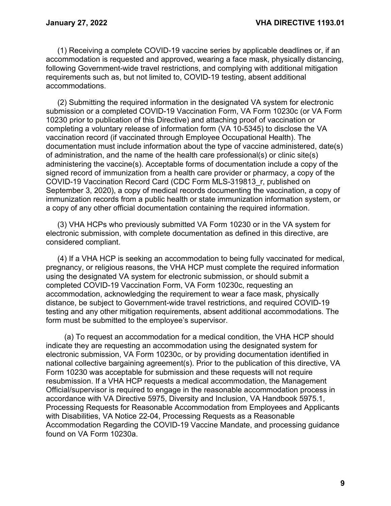(1) Receiving a complete COVID-19 vaccine series by applicable deadlines or, if an accommodation is requested and approved, wearing a face mask, physically distancing, following Government-wide travel restrictions, and complying with additional mitigation requirements such as, but not limited to, COVID-19 testing, absent additional accommodations.

(2) Submitting the required information in the designated VA system for electronic submission or a completed COVID-19 Vaccination Form, VA Form 10230c (or VA Form 10230 prior to publication of this Directive) and attaching proof of vaccination or completing a voluntary release of information form (VA 10-5345) to disclose the VA vaccination record (if vaccinated through Employee Occupational Health). The documentation must include information about the type of vaccine administered, date(s) of administration, and the name of the health care professional(s) or clinic site(s) administering the vaccine(s). Acceptable forms of documentation include a copy of the signed record of immunization from a health care provider or pharmacy, a copy of the COVID-19 Vaccination Record Card (CDC Form MLS-319813\_r, published on September 3, 2020), a copy of medical records documenting the vaccination, a copy of immunization records from a public health or state immunization information system, or a copy of any other official documentation containing the required information.

(3) VHA HCPs who previously submitted VA Form 10230 or in the VA system for electronic submission, with complete documentation as defined in this directive, are considered compliant.

(4) If a VHA HCP is seeking an accommodation to being fully vaccinated for medical, pregnancy, or religious reasons, the VHA HCP must complete the required information using the designated VA system for electronic submission, or should submit a completed COVID-19 Vaccination Form, VA Form 10230c, requesting an accommodation, acknowledging the requirement to wear a face mask, physically distance, be subject to Government-wide travel restrictions, and required COVID-19 testing and any other mitigation requirements, absent additional accommodations. The form must be submitted to the employee's supervisor.

(a) To request an accommodation for a medical condition, the VHA HCP should indicate they are requesting an accommodation using the designated system for electronic submission, VA Form 10230c, or by providing documentation identified in national collective bargaining agreement(s). Prior to the publication of this directive, VA Form 10230 was acceptable for submission and these requests will not require resubmission. If a VHA HCP requests a medical accommodation, the Management Official/supervisor is required to engage in the reasonable accommodation process in accordance with VA Directive 5975, Diversity and Inclusion, VA Handbook 5975.1, Processing Requests for Reasonable Accommodation from Employees and Applicants with Disabilities, VA Notice 22-04, Processing Requests as a Reasonable Accommodation Regarding the COVID-19 Vaccine Mandate, and processing guidance found on VA Form 10230a.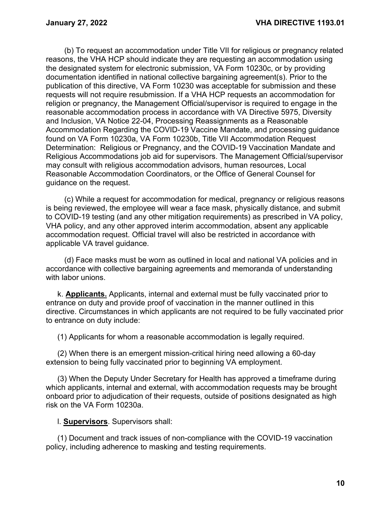(b) To request an accommodation under Title VII for religious or pregnancy related reasons, the VHA HCP should indicate they are requesting an accommodation using the designated system for electronic submission, VA Form 10230c, or by providing documentation identified in national collective bargaining agreement(s). Prior to the publication of this directive, VA Form 10230 was acceptable for submission and these requests will not require resubmission. If a VHA HCP requests an accommodation for religion or pregnancy, the Management Official/supervisor is required to engage in the reasonable accommodation process in accordance with VA Directive 5975, Diversity and Inclusion, VA Notice 22-04, Processing Reassignments as a Reasonable Accommodation Regarding the COVID-19 Vaccine Mandate, and processing guidance found on VA Form 10230a, VA Form 10230b, Title VII Accommodation Request Determination: Religious or Pregnancy, and the COVID-19 Vaccination Mandate and Religious Accommodations job aid for supervisors. The Management Official/supervisor may consult with religious accommodation advisors, human resources, Local Reasonable Accommodation Coordinators, or the Office of General Counsel for guidance on the request.

(c) While a request for accommodation for medical, pregnancy or religious reasons is being reviewed, the employee will wear a face mask, physically distance, and submit to COVID-19 testing (and any other mitigation requirements) as prescribed in VA policy, VHA policy, and any other approved interim accommodation, absent any applicable accommodation request. Official travel will also be restricted in accordance with applicable VA travel guidance.

(d) Face masks must be worn as outlined in local and national VA policies and in accordance with collective bargaining agreements and memoranda of understanding with labor unions.

k. **Applicants.** Applicants, internal and external must be fully vaccinated prior to entrance on duty and provide proof of vaccination in the manner outlined in this directive. Circumstances in which applicants are not required to be fully vaccinated prior to entrance on duty include:

(1) Applicants for whom a reasonable accommodation is legally required.

(2) When there is an emergent mission-critical hiring need allowing a 60-day extension to being fully vaccinated prior to beginning VA employment.

(3) When the Deputy Under Secretary for Health has approved a timeframe during which applicants, internal and external, with accommodation requests may be brought onboard prior to adjudication of their requests, outside of positions designated as high risk on the VA Form 10230a.

l. **Supervisors**. Supervisors shall:

(1) Document and track issues of non-compliance with the COVID-19 vaccination policy, including adherence to masking and testing requirements.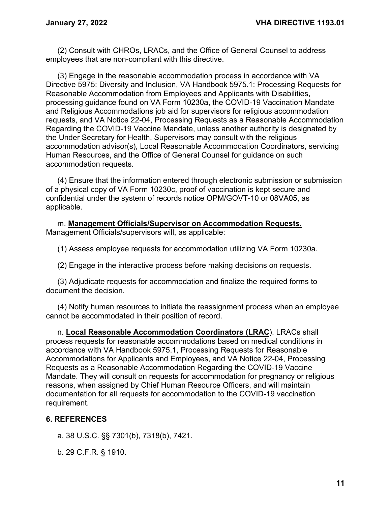(2) Consult with CHROs, LRACs, and the Office of General Counsel to address employees that are non-compliant with this directive.

(3) Engage in the reasonable accommodation process in accordance with VA Directive 5975: Diversity and Inclusion, VA Handbook 5975.1: Processing Requests for Reasonable Accommodation from Employees and Applicants with Disabilities, processing guidance found on VA Form 10230a, the COVID-19 Vaccination Mandate and Religious Accommodations job aid for supervisors for religious accommodation requests, and VA Notice 22-04, Processing Requests as a Reasonable Accommodation Regarding the COVID-19 Vaccine Mandate, unless another authority is designated by the Under Secretary for Health. Supervisors may consult with the religious accommodation advisor(s), Local Reasonable Accommodation Coordinators, servicing Human Resources, and the Office of General Counsel for guidance on such accommodation requests.

(4) Ensure that the information entered through electronic submission or submission of a physical copy of VA Form 10230c, proof of vaccination is kept secure and confidential under the system of records notice OPM/GOVT-10 or 08VA05, as applicable.

m. **Management Officials/Supervisor on Accommodation Requests.** Management Officials/supervisors will, as applicable:

(1) Assess employee requests for accommodation utilizing VA Form 10230a.

(2) Engage in the interactive process before making decisions on requests.

(3) Adjudicate requests for accommodation and finalize the required forms to document the decision.

(4) Notify human resources to initiate the reassignment process when an employee cannot be accommodated in their position of record.

n. **Local Reasonable Accommodation Coordinators (LRAC**). LRACs shall process requests for reasonable accommodations based on medical conditions in accordance with VA Handbook 5975.1, Processing Requests for Reasonable Accommodations for Applicants and Employees, and VA Notice 22-04, Processing Requests as a Reasonable Accommodation Regarding the COVID-19 Vaccine Mandate. They will consult on requests for accommodation for pregnancy or religious reasons, when assigned by Chief Human Resource Officers, and will maintain documentation for all requests for accommodation to the COVID-19 vaccination requirement.

#### <span id="page-13-0"></span>**6. REFERENCES**

a. 38 U.S.C. §§ 7301(b), 7318(b), 7421.

b. 29 C.F.R. § 1910.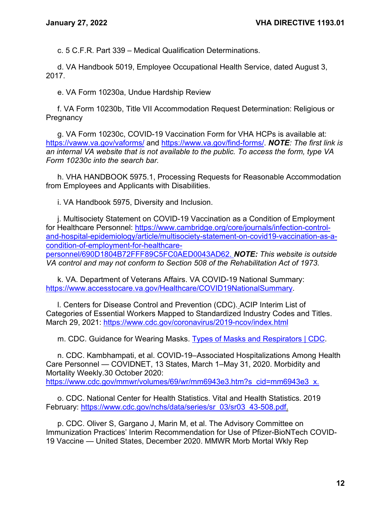c. 5 C.F.R. Part 339 – Medical Qualification Determinations.

d. VA Handbook 5019, Employee Occupational Health Service, dated August 3, 2017.

e. VA Form 10230a, Undue Hardship Review

f. VA Form 10230b, Title VII Accommodation Request Determination: Religious or **Pregnancy** 

g. VA Form 10230c, COVID-19 Vaccination Form for VHA HCPs is available at: <https://vaww.va.gov/vaforms/> and [https://www.va.gov/find-forms/.](https://www.va.gov/find-forms/) *NOTE: The first link is an internal VA website that is not available to the public. To access the form, type VA Form 10230c into the search bar.*

h. VHA HANDBOOK 5975.1, Processing Requests for Reasonable Accommodation from Employees and Applicants with Disabilities.

i. VA Handbook 5975, Diversity and Inclusion.

j. Multisociety Statement on COVID-19 Vaccination as a Condition of Employment for Healthcare Personnel: [https://www.cambridge.org/core/journals/infection-control](https://www.cambridge.org/core/journals/infection-control-and-hospital-epidemiology/article/multisociety-statement-on-covid19-vaccination-as-a-condition-of-employment-for-healthcare-personnel/690D1804B72FFF89C5FC0AED0043AD62.T)[and-hospital-epidemiology/article/multisociety-statement-on-covid19-vaccination-as-a](https://www.cambridge.org/core/journals/infection-control-and-hospital-epidemiology/article/multisociety-statement-on-covid19-vaccination-as-a-condition-of-employment-for-healthcare-personnel/690D1804B72FFF89C5FC0AED0043AD62.T)[condition-of-employment-for-healthcare-](https://www.cambridge.org/core/journals/infection-control-and-hospital-epidemiology/article/multisociety-statement-on-covid19-vaccination-as-a-condition-of-employment-for-healthcare-personnel/690D1804B72FFF89C5FC0AED0043AD62.T)

[personnel/690D1804B72FFF89C5FC0AED0043AD62.](https://www.cambridge.org/core/journals/infection-control-and-hospital-epidemiology/article/multisociety-statement-on-covid19-vaccination-as-a-condition-of-employment-for-healthcare-personnel/690D1804B72FFF89C5FC0AED0043AD62.T) *NOTE: This website is outside VA control and may not conform to Section 508 of the Rehabilitation Act of 1973.*

k. VA. Department of Veterans Affairs. VA COVID-19 National Summary: [https://www.accesstocare.va.gov/Healthcare/COVID19NationalSummary.](https://www.accesstocare.va.gov/Healthcare/COVID19NationalSummary)

l. Centers for Disease Control and Prevention (CDC). ACIP Interim List of Categories of Essential Workers Mapped to Standardized Industry Codes and Titles. March 29, 2021: <https://www.cdc.gov/coronavirus/2019-ncov/index.html>

m. CDC. Guidance for Wearing Masks. [Types of Masks and](https://www.cdc.gov/coronavirus/2019-ncov/prevent-getting-sick/types-of-masks.html) Respirators | CDC.

n. CDC. Kambhampati, et al. COVID-19–Associated Hospitalizations Among Health Care Personnel — COVIDNET, 13 States, March 1–May 31, 2020. Morbidity and Mortality Weekly.30 October 2020: [https://www.cdc.gov/mmwr/volumes/69/wr/mm6943e3.htm?s\\_cid=mm6943e3\\_x.](https://www.cdc.gov/mmwr/volumes/69/wr/mm6943e3.htm?s_cid=mm6943e3_x)

o. CDC. National Center for Health Statistics. Vital and Health Statistics. 2019 February: [https://www.cdc.gov/nchs/data/series/sr\\_03/sr03\\_43-508.pdf.](https://www.cdc.gov/nchs/data/series/sr_03/sr03_43-508.pdf)

p. CDC. Oliver S, Gargano J, Marin M, et al. The Advisory Committee on Immunization Practices' Interim Recommendation for Use of Pfizer-BioNTech COVID-19 Vaccine — United States, December 2020. MMWR Morb Mortal Wkly Rep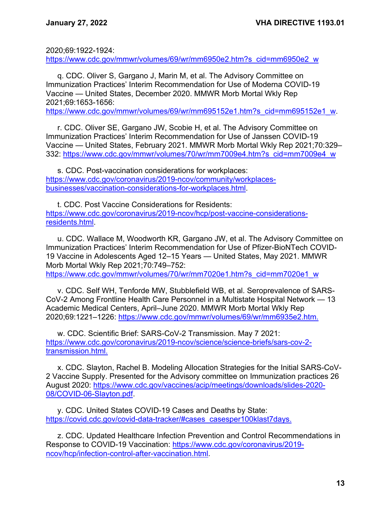2020;69:1922-1924:

[https://www.cdc.gov/mmwr/volumes/69/wr/mm6950e2.htm?s\\_cid=mm6950e2\\_w](https://www.cdc.gov/mmwr/volumes/69/wr/mm6950e2.htm?s_cid=mm6950e2_w)

q. CDC. Oliver S, Gargano J, Marin M, et al. The Advisory Committee on Immunization Practices' Interim Recommendation for Use of Moderna COVID-19 Vaccine — United States, December 2020. MMWR Morb Mortal Wkly Rep 2021;69:1653-1656:

[https://www.cdc.gov/mmwr/volumes/69/wr/mm695152e1.htm?s\\_cid=mm695152e1\\_w.](https://www.cdc.gov/mmwr/volumes/69/wr/mm695152e1.htm?s_cid=mm695152e1_w)

r. CDC. Oliver SE, Gargano JW, Scobie H, et al. The Advisory Committee on Immunization Practices' Interim Recommendation for Use of Janssen COVID-19 Vaccine — United States, February 2021. MMWR Morb Mortal Wkly Rep 2021;70:329– 332: [https://www.cdc.gov/mmwr/volumes/70/wr/mm7009e4.htm?s\\_cid=mm7009e4\\_w](https://www.cdc.gov/mmwr/volumes/70/wr/mm7009e4.htm?s_cid=mm7009e4_w)

s. CDC. Post-vaccination considerations for workplaces: [https://www.cdc.gov/coronavirus/2019-ncov/community/workplaces](https://www.cdc.gov/coronavirus/2019-ncov/community/workplaces-businesses/vaccination-considerations-for-workplaces.html)[businesses/vaccination-considerations-for-workplaces.html.](https://www.cdc.gov/coronavirus/2019-ncov/community/workplaces-businesses/vaccination-considerations-for-workplaces.html)

t. CDC. Post Vaccine Considerations for Residents: [https://www.cdc.gov/coronavirus/2019-ncov/hcp/post-vaccine-considerations](https://www.cdc.gov/coronavirus/2019-ncov/hcp/post-vaccine-considerations-residents.html)[residents.html.](https://www.cdc.gov/coronavirus/2019-ncov/hcp/post-vaccine-considerations-residents.html)

u. CDC. Wallace M, Woodworth KR, Gargano JW, et al. The Advisory Committee on Immunization Practices' Interim Recommendation for Use of Pfizer-BioNTech COVID-19 Vaccine in Adolescents Aged 12–15 Years — United States, May 2021. MMWR Morb Mortal Wkly Rep 2021;70:749–752: [https://www.cdc.gov/mmwr/volumes/70/wr/mm7020e1.htm?s\\_cid=mm7020e1\\_w](https://www.cdc.gov/mmwr/volumes/70/wr/mm7020e1.htm?s_cid=mm7020e1_w)

v. CDC. Self WH, Tenforde MW, Stubblefield WB, et al. Seroprevalence of SARS-CoV-2 Among Frontline Health Care Personnel in a Multistate Hospital Network — 13 Academic Medical Centers, April–June 2020. MMWR Morb Mortal Wkly Rep 2020;69:1221–1226: [https://www.cdc.gov/mmwr/volumes/69/wr/mm6935e2.htm.](https://www.cdc.gov/mmwr/volumes/69/wr/mm6935e2.htm)

w. CDC. Scientific Brief: SARS-CoV-2 Transmission. May 7 2021: [https://www.cdc.gov/coronavirus/2019-ncov/science/science-briefs/sars-cov-2](https://www.cdc.gov/coronavirus/2019-ncov/science/science-briefs/sars-cov-2-transmission.html) [transmission.html.](https://www.cdc.gov/coronavirus/2019-ncov/science/science-briefs/sars-cov-2-transmission.html)

x. CDC. Slayton, Rachel B. Modeling Allocation Strategies for the Initial SARS-CoV-2 Vaccine Supply. Presented for the Advisory committee on Immunization practices 26 August 2020: [https://www.cdc.gov/vaccines/acip/meetings/downloads/slides-2020-](https://www.cdc.gov/vaccines/acip/meetings/downloads/slides-2020-08/COVID-06-Slayton.pdf) [08/COVID-06-Slayton.pdf.](https://www.cdc.gov/vaccines/acip/meetings/downloads/slides-2020-08/COVID-06-Slayton.pdf)

y. CDC. United States COVID-19 Cases and Deaths by State: [https://covid.cdc.gov/covid-data-tracker/#cases\\_casesper100klast7days.](https://covid.cdc.gov/covid-data-tracker/#cases_casesper100klast7days)

z. CDC. Updated Healthcare Infection Prevention and Control Recommendations in Response to COVID-19 Vaccination: [https://www.cdc.gov/coronavirus/2019](https://www.cdc.gov/coronavirus/2019-ncov/hcp/infection-control-after-vaccination.html) [ncov/hcp/infection-control-after-vaccination.html.](https://www.cdc.gov/coronavirus/2019-ncov/hcp/infection-control-after-vaccination.html)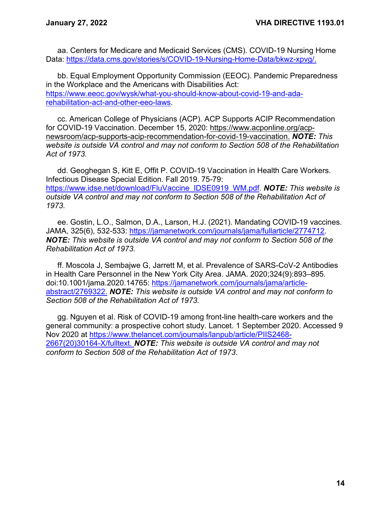aa. Centers for Medicare and Medicaid Services (CMS). COVID-19 Nursing Home Data: [https://data.cms.gov/stories/s/COVID-19-Nursing-Home-Data/bkwz-xpvg/.](https://data.cms.gov/stories/s/COVID-19-Nursing-Home-Data/bkwz-xpvg/)

bb. Equal Employment Opportunity Commission (EEOC). Pandemic Preparedness in the Workplace and the Americans with Disabilities Act: [https://www.eeoc.gov/wysk/what-you-should-know-about-covid-19-and-ada](https://www.eeoc.gov/wysk/what-you-should-know-about-covid-19-and-ada-rehabilitation-act-and-other-eeo-laws)[rehabilitation-act-and-other-eeo-laws.](https://www.eeoc.gov/wysk/what-you-should-know-about-covid-19-and-ada-rehabilitation-act-and-other-eeo-laws)

cc. American College of Physicians (ACP). ACP Supports ACIP Recommendation for COVID-19 Vaccination. December 15, 2020: [https://www.acponline.org/acp](https://www.acponline.org/acp-newsroom/acp-supports-acip-recommendation-for-covid-19-vaccination)[newsroom/acp-supports-acip-recommendation-for-covid-19-vaccination.](https://www.acponline.org/acp-newsroom/acp-supports-acip-recommendation-for-covid-19-vaccination) *NOTE: This website is outside VA control and may not conform to Section 508 of the Rehabilitation Act of 1973.*

dd. Geoghegan S, Kitt E, Offit P. COVID-19 Vaccination in Health Care Workers. Infectious Disease Special Edition. Fall 2019. 75-79: [https://www.idse.net/download/FluVaccine\\_IDSE0919\\_WM.pdf.](https://www.idse.net/download/FluVaccine_IDSE0919_WM.pdf) *NOTE: This website is outside VA control and may not conform to Section 508 of the Rehabilitation Act of 1973.*

ee. Gostin, L.O., Salmon, D.A., Larson, H.J. (2021). Mandating COVID-19 vaccines. JAMA, 325(6), 532-533: [https://jamanetwork.com/journals/jama/fullarticle/2774712.](https://jamanetwork.com/journals/jama/fullarticle/2774712) *NOTE: This website is outside VA control and may not conform to Section 508 of the Rehabilitation Act of 1973.*

ff. Moscola J, Sembajwe G, Jarrett M, et al. Prevalence of SARS-CoV-2 Antibodies in Health Care Personnel in the New York City Area. JAMA. 2020;324(9):893–895. doi:10.1001/jama.2020.14765: [https://jamanetwork.com/journals/jama/article](https://jamanetwork.com/journals/jama/article-abstract/2769322)[abstract/2769322.](https://jamanetwork.com/journals/jama/article-abstract/2769322) *NOTE: This website is outside VA control and may not conform to Section 508 of the Rehabilitation Act of 1973.*

gg. Nguyen et al. Risk of COVID-19 among front-line health-care workers and the general community: a prospective cohort study. Lancet. 1 September 2020. Accessed 9 Nov 2020 at [https://www.thelancet.com/journals/lanpub/article/PIIS2468-](https://www.thelancet.com/journals/lanpub/article/PIIS2468-2667(20)30164-X/fulltext) [2667\(20\)30164-X/fulltext.](https://www.thelancet.com/journals/lanpub/article/PIIS2468-2667(20)30164-X/fulltext) *NOTE: This website is outside VA control and may not conform to Section 508 of the Rehabilitation Act of 1973*.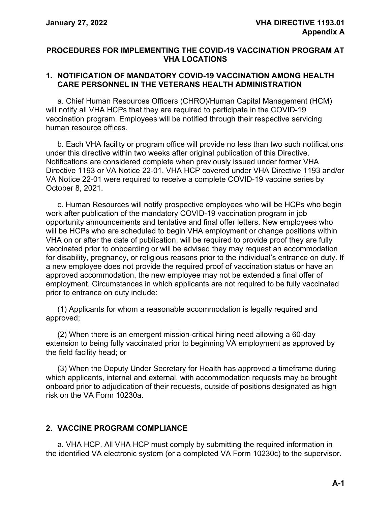## <span id="page-17-0"></span>**PROCEDURES FOR IMPLEMENTING THE COVID-19 VACCINATION PROGRAM AT VHA LOCATIONS**

### **1. NOTIFICATION OF MANDATORY COVID-19 VACCINATION AMONG HEALTH CARE PERSONNEL IN THE VETERANS HEALTH ADMINISTRATION**

a. Chief Human Resources Officers (CHRO)/Human Capital Management (HCM) will notify all VHA HCPs that they are required to participate in the COVID-19 vaccination program. Employees will be notified through their respective servicing human resource offices.

b. Each VHA facility or program office will provide no less than two such notifications under this directive within two weeks after original publication of this Directive. Notifications are considered complete when previously issued under former VHA Directive 1193 or VA Notice 22-01. VHA HCP covered under VHA Directive 1193 and/or VA Notice 22-01 were required to receive a complete COVID-19 vaccine series by October 8, 2021.

c. Human Resources will notify prospective employees who will be HCPs who begin work after publication of the mandatory COVID-19 vaccination program in job opportunity announcements and tentative and final offer letters. New employees who will be HCPs who are scheduled to begin VHA employment or change positions within VHA on or after the date of publication, will be required to provide proof they are fully vaccinated prior to onboarding or will be advised they may request an accommodation for disability, pregnancy, or religious reasons prior to the individual's entrance on duty. If a new employee does not provide the required proof of vaccination status or have an approved accommodation, the new employee may not be extended a final offer of employment. Circumstances in which applicants are not required to be fully vaccinated prior to entrance on duty include:

(1) Applicants for whom a reasonable accommodation is legally required and approved;

(2) When there is an emergent mission-critical hiring need allowing a 60-day extension to being fully vaccinated prior to beginning VA employment as approved by the field facility head; or

(3) When the Deputy Under Secretary for Health has approved a timeframe during which applicants, internal and external, with accommodation requests may be brought onboard prior to adjudication of their requests, outside of positions designated as high risk on the VA Form 10230a.

## **2. VACCINE PROGRAM COMPLIANCE**

a. VHA HCP. All VHA HCP must comply by submitting the required information in the identified VA electronic system (or a completed VA Form 10230c) to the supervisor.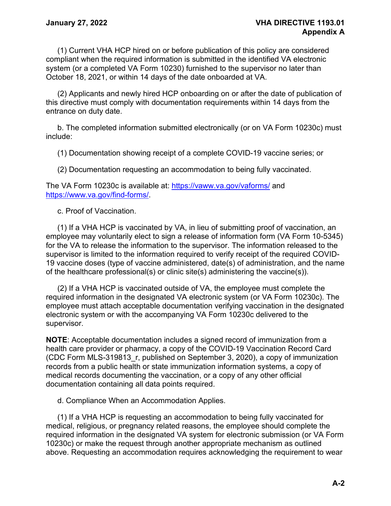(1) Current VHA HCP hired on or before publication of this policy are considered compliant when the required information is submitted in the identified VA electronic system (or a completed VA Form 10230) furnished to the supervisor no later than October 18, 2021, or within 14 days of the date onboarded at VA.

(2) Applicants and newly hired HCP onboarding on or after the date of publication of this directive must comply with documentation requirements within 14 days from the entrance on duty date.

b. The completed information submitted electronically (or on VA Form 10230c) must include:

(1) Documentation showing receipt of a complete COVID-19 vaccine series; or

(2) Documentation requesting an accommodation to being fully vaccinated.

The VA Form 10230c is available at:<https://vaww.va.gov/vaforms/> and [https://www.va.gov/find-forms/.](https://www.va.gov/find-forms/)

c. Proof of Vaccination.

(1) If a VHA HCP is vaccinated by VA, in lieu of submitting proof of vaccination, an employee may voluntarily elect to sign a release of information form (VA Form 10-5345) for the VA to release the information to the supervisor. The information released to the supervisor is limited to the information required to verify receipt of the required COVID-19 vaccine doses (type of vaccine administered, date(s) of administration, and the name of the healthcare professional(s) or clinic site(s) administering the vaccine(s)).

(2) If a VHA HCP is vaccinated outside of VA, the employee must complete the required information in the designated VA electronic system (or VA Form 10230c). The employee must attach acceptable documentation verifying vaccination in the designated electronic system or with the accompanying VA Form 10230c delivered to the supervisor.

**NOTE**: Acceptable documentation includes a signed record of immunization from a health care provider or pharmacy, a copy of the COVID-19 Vaccination Record Card (CDC Form MLS-319813\_r, published on September 3, 2020), a copy of immunization records from a public health or state immunization information systems, a copy of medical records documenting the vaccination, or a copy of any other official documentation containing all data points required.

d. Compliance When an Accommodation Applies.

(1) If a VHA HCP is requesting an accommodation to being fully vaccinated for medical, religious, or pregnancy related reasons, the employee should complete the required information in the designated VA system for electronic submission (or VA Form 10230c) or make the request through another appropriate mechanism as outlined above. Requesting an accommodation requires acknowledging the requirement to wear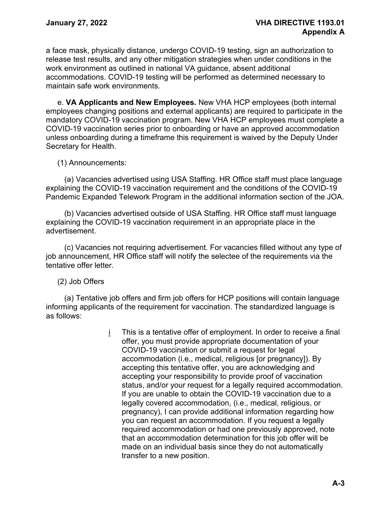a face mask, physically distance, undergo COVID-19 testing, sign an authorization to release test results, and any other mitigation strategies when under conditions in the work environment as outlined in national VA guidance, absent additional accommodations. COVID-19 testing will be performed as determined necessary to maintain safe work environments.

e. **VA Applicants and New Employees.** New VHA HCP employees (both internal employees changing positions and external applicants) are required to participate in the mandatory COVID-19 vaccination program. New VHA HCP employees must complete a COVID-19 vaccination series prior to onboarding or have an approved accommodation unless onboarding during a timeframe this requirement is waived by the Deputy Under Secretary for Health.

(1) Announcements:

(a) Vacancies advertised using USA Staffing. HR Office staff must place language explaining the COVID-19 vaccination requirement and the conditions of the COVID-19 Pandemic Expanded Telework Program in the additional information section of the JOA.

(b) Vacancies advertised outside of USA Staffing. HR Office staff must language explaining the COVID-19 vaccination requirement in an appropriate place in the advertisement.

(c) Vacancies not requiring advertisement. For vacancies filled without any type of job announcement, HR Office staff will notify the selectee of the requirements via the tentative offer letter.

(2) Job Offers

(a) Tentative job offers and firm job offers for HCP positions will contain language informing applicants of the requirement for vaccination. The standardized language is as follows:

> i This is a tentative offer of employment. In order to receive a final offer, you must provide appropriate documentation of your COVID-19 vaccination or submit a request for legal accommodation (i.e., medical, religious [or pregnancy]). By accepting this tentative offer, you are acknowledging and accepting your responsibility to provide proof of vaccination status, and/or your request for a legally required accommodation. If you are unable to obtain the COVID-19 vaccination due to a legally covered accommodation, (i.e., medical, religious, or pregnancy), I can provide additional information regarding how you can request an accommodation. If you request a legally required accommodation or had one previously approved, note that an accommodation determination for this job offer will be made on an individual basis since they do not automatically transfer to a new position.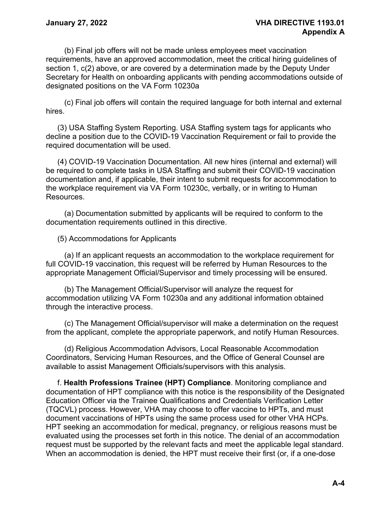(b) Final job offers will not be made unless employees meet vaccination requirements, have an approved accommodation, meet the critical hiring guidelines of section 1, c(2) above, or are covered by a determination made by the Deputy Under Secretary for Health on onboarding applicants with pending accommodations outside of designated positions on the VA Form 10230a

(c) Final job offers will contain the required language for both internal and external hires.

(3) USA Staffing System Reporting. USA Staffing system tags for applicants who decline a position due to the COVID-19 Vaccination Requirement or fail to provide the required documentation will be used.

(4) COVID-19 Vaccination Documentation. All new hires (internal and external) will be required to complete tasks in USA Staffing and submit their COVID-19 vaccination documentation and, if applicable, their intent to submit requests for accommodation to the workplace requirement via VA Form 10230c, verbally, or in writing to Human Resources.

(a) Documentation submitted by applicants will be required to conform to the documentation requirements outlined in this directive.

(5) Accommodations for Applicants

(a) If an applicant requests an accommodation to the workplace requirement for full COVID-19 vaccination, this request will be referred by Human Resources to the appropriate Management Official/Supervisor and timely processing will be ensured.

(b) The Management Official/Supervisor will analyze the request for accommodation utilizing VA Form 10230a and any additional information obtained through the interactive process.

(c) The Management Official/supervisor will make a determination on the request from the applicant, complete the appropriate paperwork, and notify Human Resources.

(d) Religious Accommodation Advisors, Local Reasonable Accommodation Coordinators, Servicing Human Resources, and the Office of General Counsel are available to assist Management Officials/supervisors with this analysis.

f. **Health Professions Trainee (HPT) Compliance**. Monitoring compliance and documentation of HPT compliance with this notice is the responsibility of the Designated Education Officer via the Trainee Qualifications and Credentials Verification Letter (TQCVL) process. However, VHA may choose to offer vaccine to HPTs, and must document vaccinations of HPTs using the same process used for other VHA HCPs. HPT seeking an accommodation for medical, pregnancy, or religious reasons must be evaluated using the processes set forth in this notice. The denial of an accommodation request must be supported by the relevant facts and meet the applicable legal standard. When an accommodation is denied, the HPT must receive their first (or, if a one-dose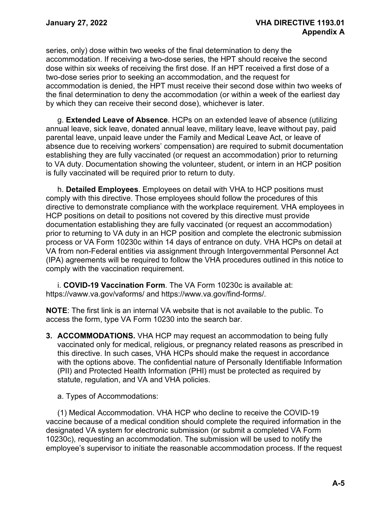series, only) dose within two weeks of the final determination to deny the accommodation. If receiving a two-dose series, the HPT should receive the second dose within six weeks of receiving the first dose. If an HPT received a first dose of a two-dose series prior to seeking an accommodation, and the request for accommodation is denied, the HPT must receive their second dose within two weeks of the final determination to deny the accommodation (or within a week of the earliest day by which they can receive their second dose), whichever is later.

g. **Extended Leave of Absence**. HCPs on an extended leave of absence (utilizing annual leave, sick leave, donated annual leave, military leave, leave without pay, paid parental leave, unpaid leave under the Family and Medical Leave Act, or leave of absence due to receiving workers' compensation) are required to submit documentation establishing they are fully vaccinated (or request an accommodation) prior to returning to VA duty. Documentation showing the volunteer, student, or intern in an HCP position is fully vaccinated will be required prior to return to duty.

h. **Detailed Employees**. Employees on detail with VHA to HCP positions must comply with this directive. Those employees should follow the procedures of this directive to demonstrate compliance with the workplace requirement. VHA employees in HCP positions on detail to positions not covered by this directive must provide documentation establishing they are fully vaccinated (or request an accommodation) prior to returning to VA duty in an HCP position and complete the electronic submission process or VA Form 10230c within 14 days of entrance on duty. VHA HCPs on detail at VA from non-Federal entities via assignment through Intergovernmental Personnel Act (IPA) agreements will be required to follow the VHA procedures outlined in this notice to comply with the vaccination requirement.

i. **COVID-19 Vaccination Form**. The VA Form 10230c is available at: https://vaww.va.gov/vaforms/ and https://www.va.gov/find-forms/.

**NOTE**: The first link is an internal VA website that is not available to the public. To access the form, type VA Form 10230 into the search bar.

- **3. ACCOMMODATIONS.** VHA HCP may request an accommodation to being fully vaccinated only for medical, religious, or pregnancy related reasons as prescribed in this directive. In such cases, VHA HCPs should make the request in accordance with the options above. The confidential nature of Personally Identifiable Information (PII) and Protected Health Information (PHI) must be protected as required by statute, regulation, and VA and VHA policies.
	- a. Types of Accommodations:

(1) Medical Accommodation. VHA HCP who decline to receive the COVID-19 vaccine because of a medical condition should complete the required information in the designated VA system for electronic submission (or submit a completed VA Form 10230c), requesting an accommodation. The submission will be used to notify the employee's supervisor to initiate the reasonable accommodation process. If the request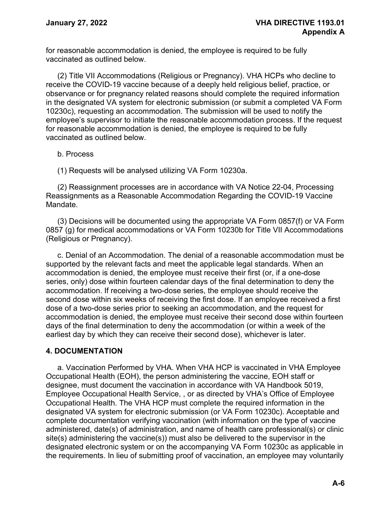for reasonable accommodation is denied, the employee is required to be fully vaccinated as outlined below.

(2) Title VII Accommodations (Religious or Pregnancy). VHA HCPs who decline to receive the COVID-19 vaccine because of a deeply held religious belief, practice, or observance or for pregnancy related reasons should complete the required information in the designated VA system for electronic submission (or submit a completed VA Form 10230c), requesting an accommodation. The submission will be used to notify the employee's supervisor to initiate the reasonable accommodation process. If the request for reasonable accommodation is denied, the employee is required to be fully vaccinated as outlined below.

### b. Process

(1) Requests will be analysed utilizing VA Form 10230a.

(2) Reassignment processes are in accordance with VA Notice 22-04, Processing Reassignments as a Reasonable Accommodation Regarding the COVID-19 Vaccine Mandate.

(3) Decisions will be documented using the appropriate VA Form 0857(f) or VA Form 0857 (g) for medical accommodations or VA Form 10230b for Title VII Accommodations (Religious or Pregnancy).

c. Denial of an Accommodation. The denial of a reasonable accommodation must be supported by the relevant facts and meet the applicable legal standards. When an accommodation is denied, the employee must receive their first (or, if a one-dose series, only) dose within fourteen calendar days of the final determination to deny the accommodation. If receiving a two-dose series, the employee should receive the second dose within six weeks of receiving the first dose. If an employee received a first dose of a two-dose series prior to seeking an accommodation, and the request for accommodation is denied, the employee must receive their second dose within fourteen days of the final determination to deny the accommodation (or within a week of the earliest day by which they can receive their second dose), whichever is later.

## **4. DOCUMENTATION**

a. Vaccination Performed by VHA. When VHA HCP is vaccinated in VHA Employee Occupational Health (EOH), the person administering the vaccine, EOH staff or designee, must document the vaccination in accordance with VA Handbook 5019, Employee Occupational Health Service, , or as directed by VHA's Office of Employee Occupational Health. The VHA HCP must complete the required information in the designated VA system for electronic submission (or VA Form 10230c). Acceptable and complete documentation verifying vaccination (with information on the type of vaccine administered, date(s) of administration, and name of health care professional(s) or clinic site(s) administering the vaccine(s)) must also be delivered to the supervisor in the designated electronic system or on the accompanying VA Form 10230c as applicable in the requirements. In lieu of submitting proof of vaccination, an employee may voluntarily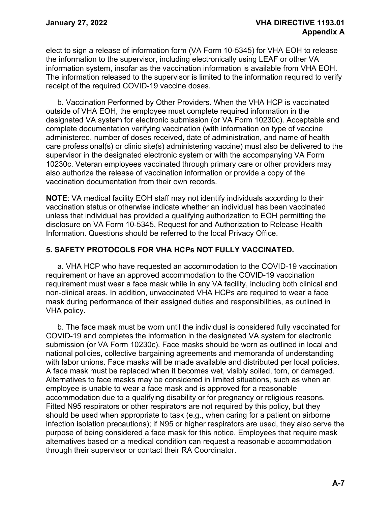elect to sign a release of information form (VA Form 10-5345) for VHA EOH to release the information to the supervisor, including electronically using LEAF or other VA information system, insofar as the vaccination information is available from VHA EOH. The information released to the supervisor is limited to the information required to verify receipt of the required COVID-19 vaccine doses.

b. Vaccination Performed by Other Providers. When the VHA HCP is vaccinated outside of VHA EOH, the employee must complete required information in the designated VA system for electronic submission (or VA Form 10230c). Acceptable and complete documentation verifying vaccination (with information on type of vaccine administered, number of doses received, date of administration, and name of health care professional(s) or clinic site(s) administering vaccine) must also be delivered to the supervisor in the designated electronic system or with the accompanying VA Form 10230c. Veteran employees vaccinated through primary care or other providers may also authorize the release of vaccination information or provide a copy of the vaccination documentation from their own records.

**NOTE**: VA medical facility EOH staff may not identify individuals according to their vaccination status or otherwise indicate whether an individual has been vaccinated unless that individual has provided a qualifying authorization to EOH permitting the disclosure on VA Form 10-5345, Request for and Authorization to Release Health Information. Questions should be referred to the local Privacy Office.

## **5. SAFETY PROTOCOLS FOR VHA HCPs NOT FULLY VACCINATED.**

a. VHA HCP who have requested an accommodation to the COVID-19 vaccination requirement or have an approved accommodation to the COVID-19 vaccination requirement must wear a face mask while in any VA facility, including both clinical and non-clinical areas. In addition, unvaccinated VHA HCPs are required to wear a face mask during performance of their assigned duties and responsibilities, as outlined in VHA policy.

b. The face mask must be worn until the individual is considered fully vaccinated for COVID-19 and completes the information in the designated VA system for electronic submission (or VA Form 10230c). Face masks should be worn as outlined in local and national policies, collective bargaining agreements and memoranda of understanding with labor unions. Face masks will be made available and distributed per local policies. A face mask must be replaced when it becomes wet, visibly soiled, torn, or damaged. Alternatives to face masks may be considered in limited situations, such as when an employee is unable to wear a face mask and is approved for a reasonable accommodation due to a qualifying disability or for pregnancy or religious reasons. Fitted N95 respirators or other respirators are not required by this policy, but they should be used when appropriate to task (e.g., when caring for a patient on airborne infection isolation precautions); if N95 or higher respirators are used, they also serve the purpose of being considered a face mask for this notice. Employees that require mask alternatives based on a medical condition can request a reasonable accommodation through their supervisor or contact their RA Coordinator.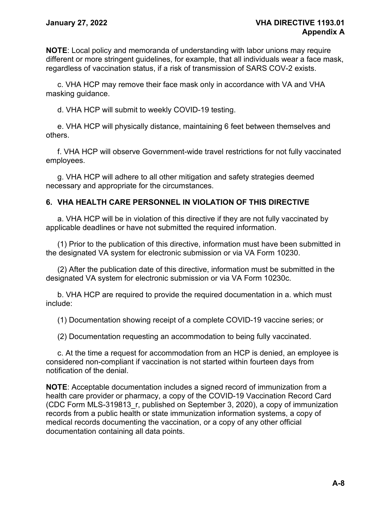**NOTE**: Local policy and memoranda of understanding with labor unions may require different or more stringent guidelines, for example, that all individuals wear a face mask, regardless of vaccination status, if a risk of transmission of SARS COV-2 exists.

c. VHA HCP may remove their face mask only in accordance with VA and VHA masking guidance.

d. VHA HCP will submit to weekly COVID-19 testing.

e. VHA HCP will physically distance, maintaining 6 feet between themselves and others.

f. VHA HCP will observe Government-wide travel restrictions for not fully vaccinated employees.

g. VHA HCP will adhere to all other mitigation and safety strategies deemed necessary and appropriate for the circumstances.

## **6. VHA HEALTH CARE PERSONNEL IN VIOLATION OF THIS DIRECTIVE**

a. VHA HCP will be in violation of this directive if they are not fully vaccinated by applicable deadlines or have not submitted the required information.

(1) Prior to the publication of this directive, information must have been submitted in the designated VA system for electronic submission or via VA Form 10230.

(2) After the publication date of this directive, information must be submitted in the designated VA system for electronic submission or via VA Form 10230c.

b. VHA HCP are required to provide the required documentation in a. which must include:

(1) Documentation showing receipt of a complete COVID-19 vaccine series; or

(2) Documentation requesting an accommodation to being fully vaccinated.

c. At the time a request for accommodation from an HCP is denied, an employee is considered non-compliant if vaccination is not started within fourteen days from notification of the denial.

**NOTE**: Acceptable documentation includes a signed record of immunization from a health care provider or pharmacy, a copy of the COVID-19 Vaccination Record Card (CDC Form MLS-319813\_r, published on September 3, 2020), a copy of immunization records from a public health or state immunization information systems, a copy of medical records documenting the vaccination, or a copy of any other official documentation containing all data points.